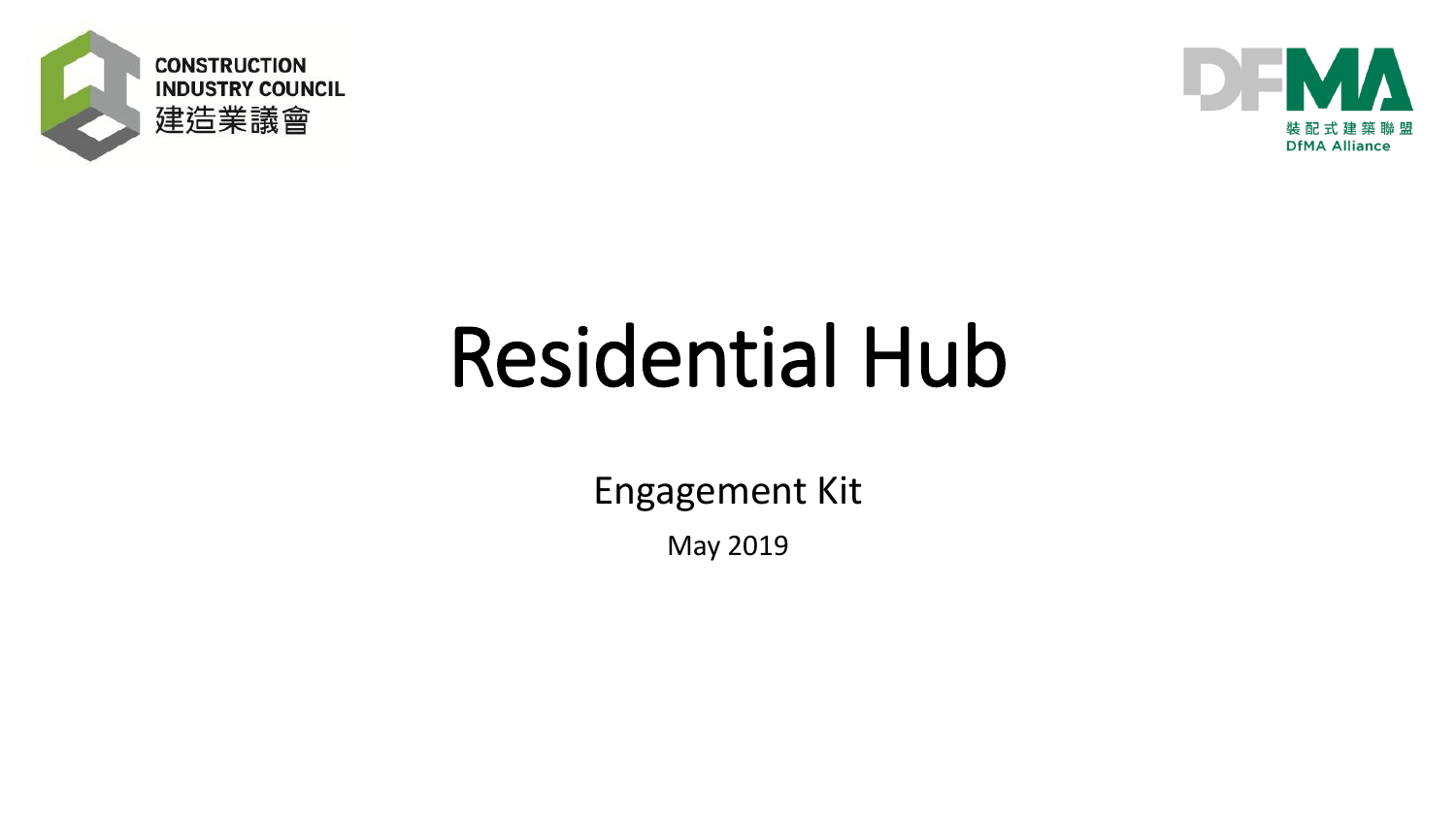



Engagement Kit

May 2019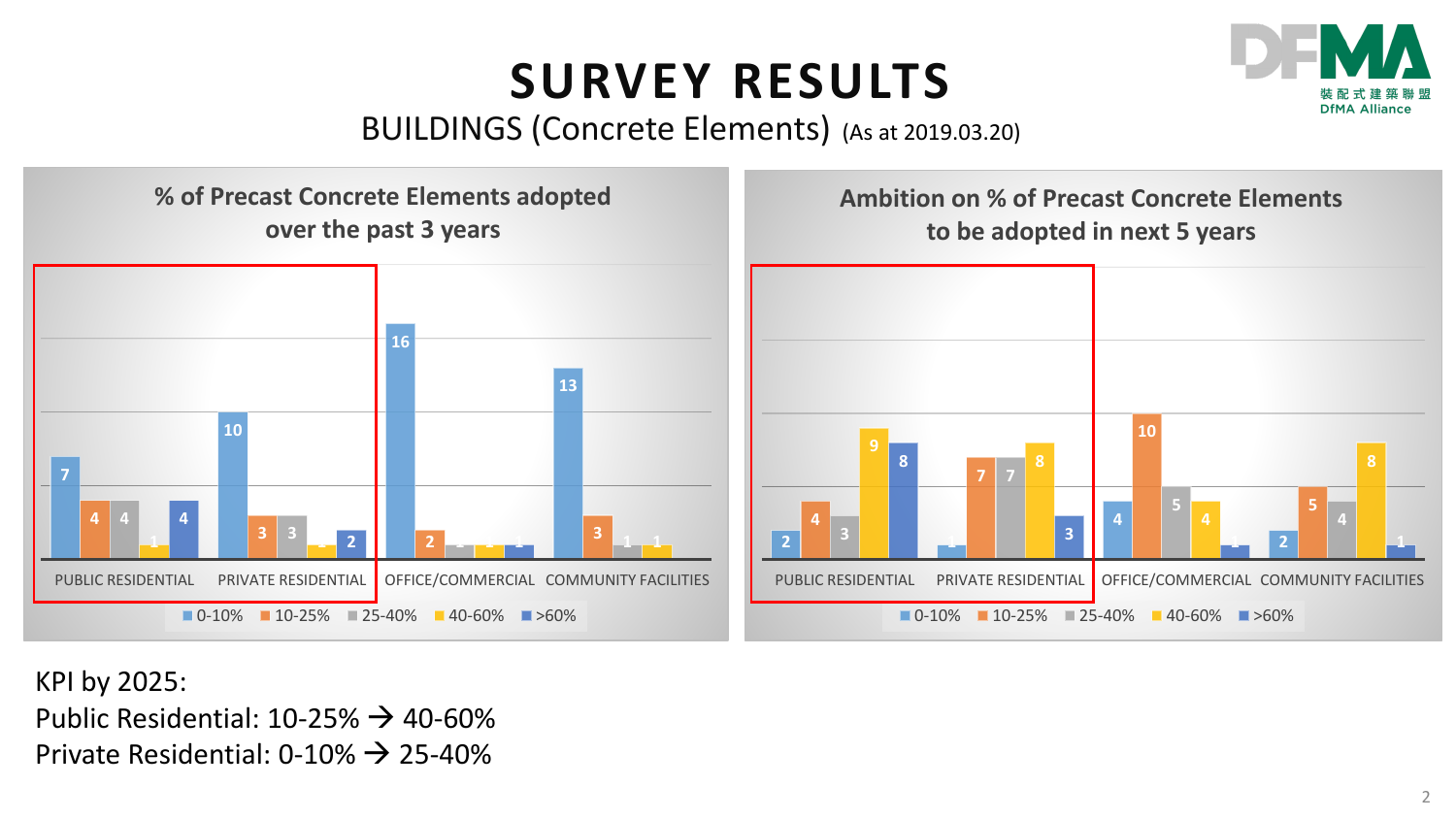#### **INDUSTRY RESULTS SURVEY RESULTS**



#### BUILDINGS (Concrete Elements) (As at 2019.03.20)



KPI by 2025: Public Residential:  $10-25\% \rightarrow 40-60\%$ Private Residential:  $0-10\% \rightarrow 25-40\%$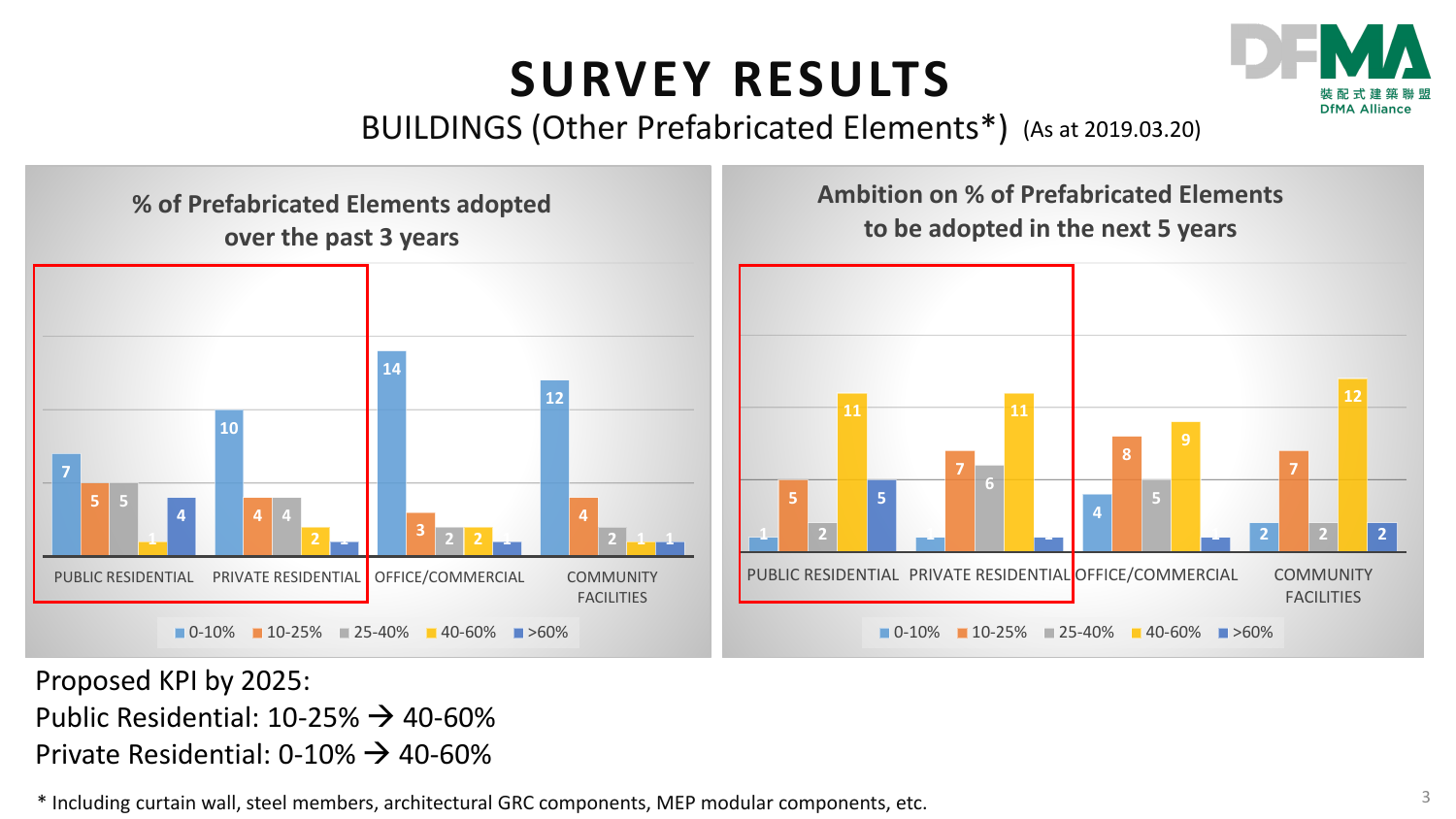### **SURVEY RESULTS**



BUILDINGS (Other Prefabricated Elements\*) (As at 2019.03.20)



Proposed KPI by 2025: Public Residential:  $10-25\% \rightarrow 40-60\%$ Private Residential:  $0-10\% \rightarrow 40-60\%$ 

 $*$  Including curtain wall, steel members, architectural GRC components, MEP modular components, etc.  $3 \times 3$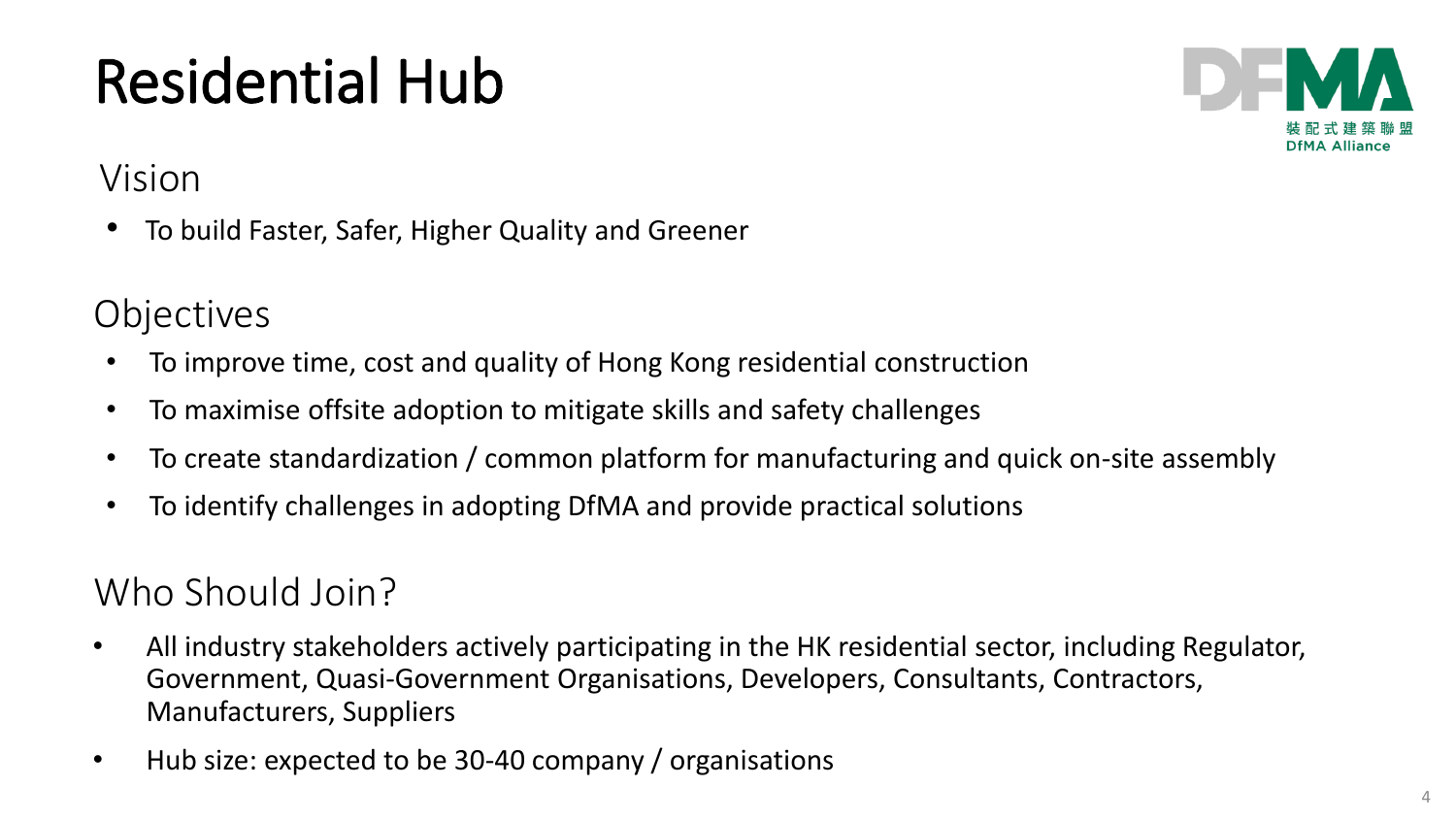

#### Vision

• To build Faster, Safer, Higher Quality and Greener

#### **Objectives**

- To improve time, cost and quality of Hong Kong residential construction
- To maximise offsite adoption to mitigate skills and safety challenges
- To create standardization / common platform for manufacturing and quick on-site assembly
- To identify challenges in adopting DfMA and provide practical solutions

### Who Should Join?

- All industry stakeholders actively participating in the HK residential sector, including Regulator, Government, Quasi-Government Organisations, Developers, Consultants, Contractors, Manufacturers, Suppliers
- Hub size: expected to be 30-40 company / organisations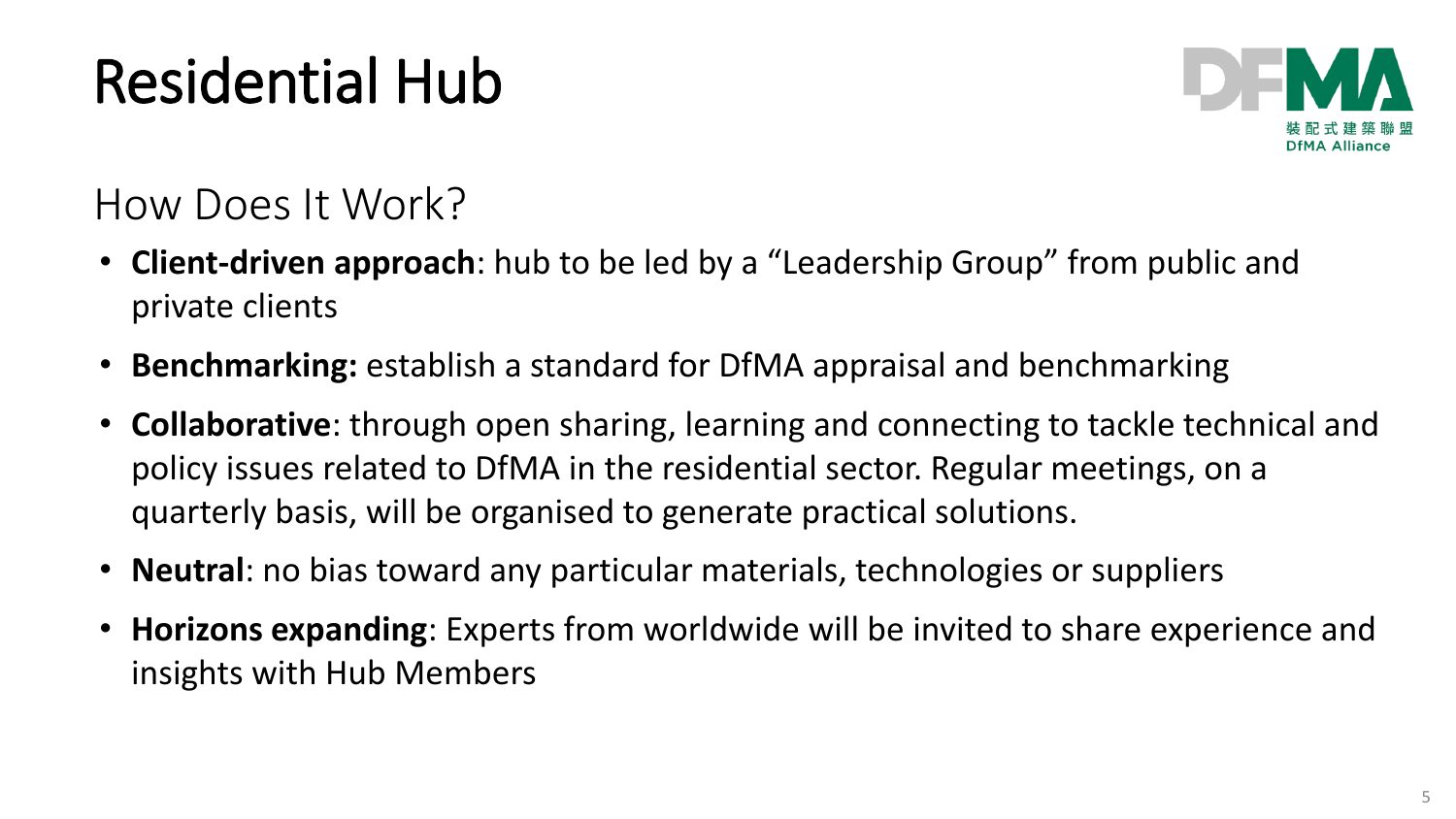

### How Does It Work?

- **Client-driven approach**: hub to be led by a "Leadership Group" from public and private clients
- **Benchmarking:** establish a standard for DfMA appraisal and benchmarking
- **Collaborative**: through open sharing, learning and connecting to tackle technical and policy issues related to DfMA in the residential sector. Regular meetings, on a quarterly basis, will be organised to generate practical solutions.
- **Neutral**: no bias toward any particular materials, technologies or suppliers
- **Horizons expanding**: Experts from worldwide will be invited to share experience and insights with Hub Members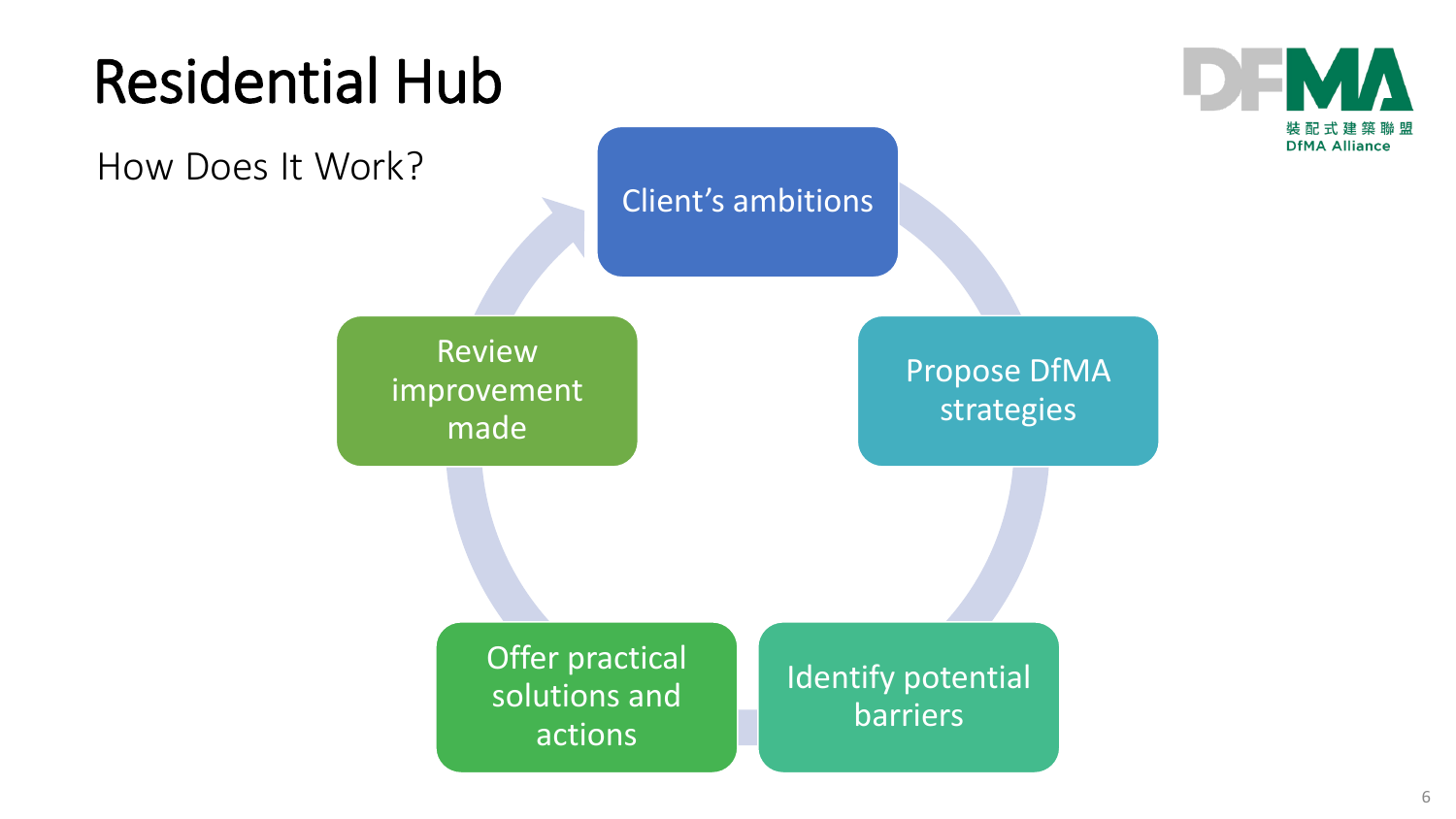